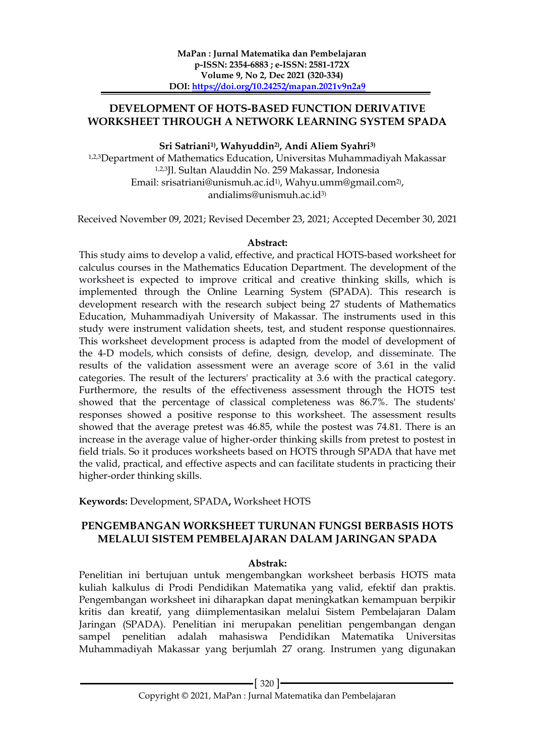### **DEVELOPMENT OF HOTS-BASED FUNCTION DERIVATIVE WORKSHEET THROUGH A NETWORK LEARNING SYSTEM SPADA**

### **Sri Satriani1) , Wahyuddin2) , Andi Aliem Syahri3)**

1,2,3Department of Mathematics Education, Universitas Muhammadiyah Makassar 1,2,3Jl. Sultan Alauddin No. 259 Makassar, Indonesia Email: srisatriani@unismuh.ac.id1) , Wahyu.umm@gmail.com2) , andialims@unismuh.ac.id3)

Received November 09, 2021; Revised December 23, 2021; Accepted December 30, 2021

#### **Abstract:**

This study aims to develop a valid, effective, and practical HOTS-based worksheet for calculus courses in the Mathematics Education Department. The development of the worksheet is expected to improve critical and creative thinking skills, which is implemented through the Online Learning System (SPADA). This research is development research with the research subject being 27 students of Mathematics Education, Muhammadiyah University of Makassar. The instruments used in this study were instrument validation sheets, test, and student response questionnaires. This worksheet development process is adapted from the model of development of the 4-D models, which consists of define*,* design*,* develop, and disseminate*.* The results of the validation assessment were an average score of 3.61 in the valid categories. The result of the lecturers' practicality at 3.6 with the practical category. Furthermore, the results of the effectiveness assessment through the HOTS test showed that the percentage of classical completeness was 86.7%. The students' responses showed a positive response to this worksheet. The assessment results showed that the average pretest was 46.85, while the postest was 74.81. There is an increase in the average value of higher-order thinking skills from pretest to postest in field trials. So it produces worksheets based on HOTS through SPADA that have met the valid, practical, and effective aspects and can facilitate students in practicing their higher-order thinking skills.

**Keywords:** Development, SPADA**,** Worksheet HOTS

### **PENGEMBANGAN WORKSHEET TURUNAN FUNGSI BERBASIS HOTS MELALUI SISTEM PEMBELAJARAN DALAM JARINGAN SPADA**

### **Abstrak:**

Penelitian ini bertujuan untuk mengembangkan worksheet berbasis HOTS mata kuliah kalkulus di Prodi Pendidikan Matematika yang valid, efektif dan praktis. Pengembangan worksheet ini diharapkan dapat meningkatkan kemampuan berpikir kritis dan kreatif, yang diimplementasikan melalui Sistem Pembelajaran Dalam Jaringan (SPADA). Penelitian ini merupakan penelitian pengembangan dengan sampel penelitian adalah mahasiswa Pendidikan Matematika Universitas Muhammadiyah Makassar yang berjumlah 27 orang. Instrumen yang digunakan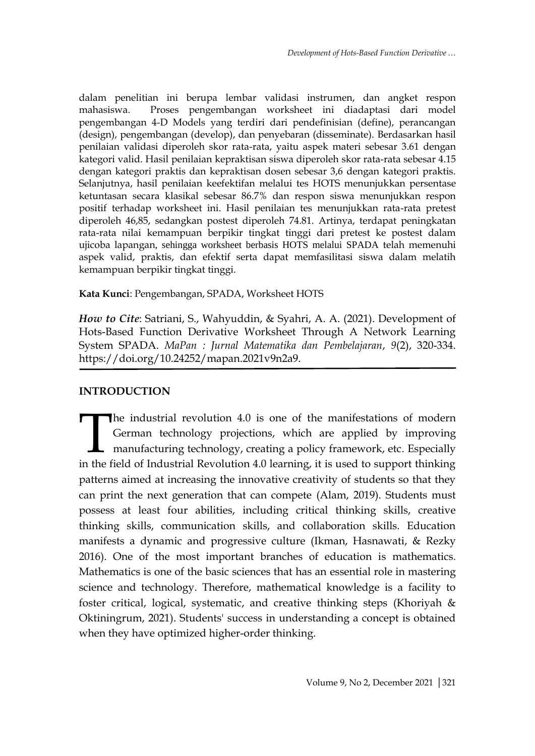dalam penelitian ini berupa lembar validasi instrumen, dan angket respon mahasiswa. Proses pengembangan worksheet ini diadaptasi dari model pengembangan 4-D Models yang terdiri dari pendefinisian (define), perancangan (design), pengembangan (develop), dan penyebaran (disseminate). Berdasarkan hasil penilaian validasi diperoleh skor rata-rata, yaitu aspek materi sebesar 3.61 dengan kategori valid. Hasil penilaian kepraktisan siswa diperoleh skor rata-rata sebesar 4.15 dengan kategori praktis dan kepraktisan dosen sebesar 3,6 dengan kategori praktis. Selanjutnya, hasil penilaian keefektifan melalui tes HOTS menunjukkan persentase ketuntasan secara klasikal sebesar 86.7% dan respon siswa menunjukkan respon positif terhadap worksheet ini. Hasil penilaian tes menunjukkan rata-rata pretest diperoleh 46,85, sedangkan postest diperoleh 74.81. Artinya, terdapat peningkatan rata-rata nilai kemampuan berpikir tingkat tinggi dari pretest ke postest dalam ujicoba lapangan, sehingga worksheet berbasis HOTS melalui SPADA telah memenuhi aspek valid, praktis, dan efektif serta dapat memfasilitasi siswa dalam melatih kemampuan berpikir tingkat tinggi.

**Kata Kunci**: Pengembangan, SPADA, Worksheet HOTS

*How to Cite*: Satriani, S., Wahyuddin, & Syahri, A. A. (2021). Development of Hots-Based Function Derivative Worksheet Through A Network Learning System SPADA. *MaPan : Jurnal Matematika dan Pembelajaran*, *9*(2), 320-334. https://doi.org/10.24252/mapan.2021v9n2a9.

# **INTRODUCTION**

he industrial revolution 4.0 is one of the manifestations of modern German technology projections, which are applied by improving manufacturing technology, creating a policy framework, etc. Especially The industrial revolution 4.0 is one of the manifestations of modern German technology projections, which are applied by improving manufacturing technology, creating a policy framework, etc. Especially in the field of Indu patterns aimed at increasing the innovative creativity of students so that they can print the next generation that can compete (Alam, 2019). Students must possess at least four abilities, including critical thinking skills, creative thinking skills, communication skills, and collaboration skills. Education manifests a dynamic and progressive culture (Ikman, Hasnawati, & Rezky 2016). One of the most important branches of education is mathematics. Mathematics is one of the basic sciences that has an essential role in mastering science and technology. Therefore, mathematical knowledge is a facility to foster critical, logical, systematic, and creative thinking steps (Khoriyah & Oktiningrum, 2021). Students' success in understanding a concept is obtained when they have optimized higher-order thinking.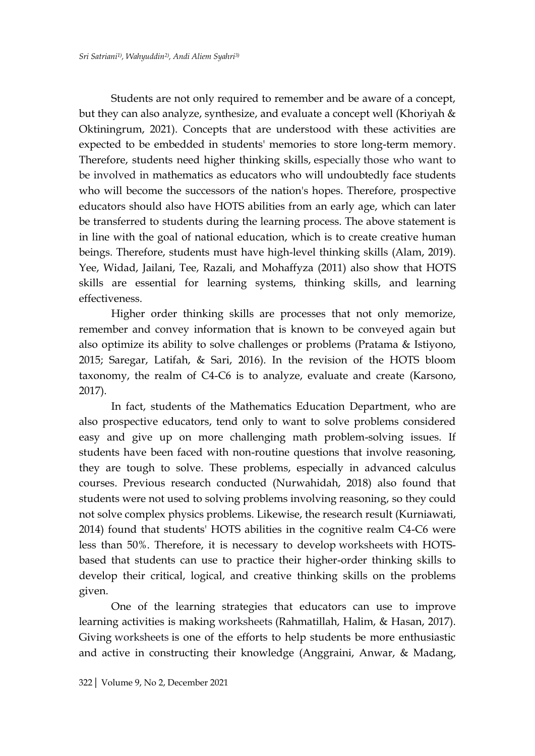Students are not only required to remember and be aware of a concept, but they can also analyze, synthesize, and evaluate a concept well (Khoriyah & Oktiningrum, 2021). Concepts that are understood with these activities are expected to be embedded in students' memories to store long-term memory. Therefore, students need higher thinking skills, especially those who want to be involved in mathematics as educators who will undoubtedly face students who will become the successors of the nation's hopes. Therefore, prospective educators should also have HOTS abilities from an early age, which can later be transferred to students during the learning process. The above statement is in line with the goal of national education, which is to create creative human beings. Therefore, students must have high-level thinking skills (Alam, 2019). Yee, Widad, Jailani, Tee, Razali, and Mohaffyza (2011) also show that HOTS skills are essential for learning systems, thinking skills, and learning effectiveness.

Higher order thinking skills are processes that not only memorize, remember and convey information that is known to be conveyed again but also optimize its ability to solve challenges or problems (Pratama & Istiyono, 2015; Saregar, Latifah, & Sari, 2016). In the revision of the HOTS bloom taxonomy, the realm of C4-C6 is to analyze, evaluate and create (Karsono, 2017).

In fact, students of the Mathematics Education Department, who are also prospective educators, tend only to want to solve problems considered easy and give up on more challenging math problem-solving issues. If students have been faced with non-routine questions that involve reasoning, they are tough to solve. These problems, especially in advanced calculus courses. Previous research conducted (Nurwahidah, 2018) also found that students were not used to solving problems involving reasoning, so they could not solve complex physics problems. Likewise, the research result (Kurniawati, 2014) found that students' HOTS abilities in the cognitive realm C4-C6 were less than 50%. Therefore, it is necessary to develop worksheets with HOTSbased that students can use to practice their higher-order thinking skills to develop their critical, logical, and creative thinking skills on the problems given.

One of the learning strategies that educators can use to improve learning activities is making worksheets (Rahmatillah, Halim, & Hasan, 2017). Giving worksheets is one of the efforts to help students be more enthusiastic and active in constructing their knowledge (Anggraini, Anwar, & Madang,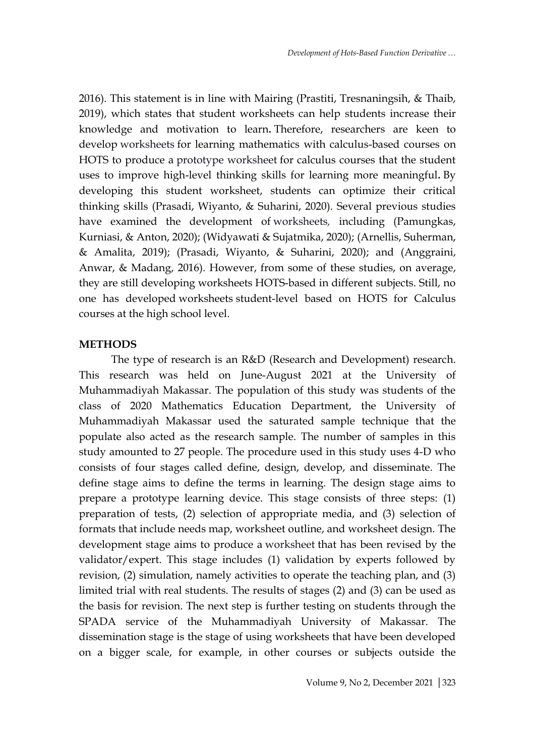2016). This statement is in line with Mairing (Prastiti, Tresnaningsih, & Thaib, 2019), which states that student worksheets can help students increase their knowledge and motivation to learn**.** Therefore, researchers are keen to develop worksheets for learning mathematics with calculus-based courses on HOTS to produce a prototype worksheet for calculus courses that the student uses to improve high-level thinking skills for learning more meaningful**.** By developing this student worksheet, students can optimize their critical thinking skills (Prasadi, Wiyanto, & Suharini, 2020). Several previous studies have examined the development of worksheets*,* including (Pamungkas, Kurniasi, & Anton, 2020); (Widyawati & Sujatmika, 2020); (Arnellis, Suherman, & Amalita, 2019); (Prasadi, Wiyanto, & Suharini, 2020); and (Anggraini, Anwar, & Madang, 2016). However, from some of these studies, on average, they are still developing worksheets HOTS-based in different subjects. Still, no one has developed worksheets student-level based on HOTS for Calculus courses at the high school level.

#### **METHODS**

The type of research is an R&D (Research and Development) research. This research was held on June-August 2021 at the University of Muhammadiyah Makassar. The population of this study was students of the class of 2020 Mathematics Education Department, the University of Muhammadiyah Makassar used the saturated sample technique that the populate also acted as the research sample. The number of samples in this study amounted to 27 people. The procedure used in this study uses 4-D who consists of four stages called define, design, develop, and disseminate. The define stage aims to define the terms in learning. The design stage aims to prepare a prototype learning device. This stage consists of three steps: (1) preparation of tests, (2) selection of appropriate media, and (3) selection of formats that include needs map, worksheet outline, and worksheet design. The development stage aims to produce a worksheet that has been revised by the validator/expert. This stage includes (1) validation by experts followed by revision, (2) simulation, namely activities to operate the teaching plan, and (3) limited trial with real students. The results of stages (2) and (3) can be used as the basis for revision. The next step is further testing on students through the SPADA service of the Muhammadiyah University of Makassar. The dissemination stage is the stage of using worksheets that have been developed on a bigger scale, for example, in other courses or subjects outside the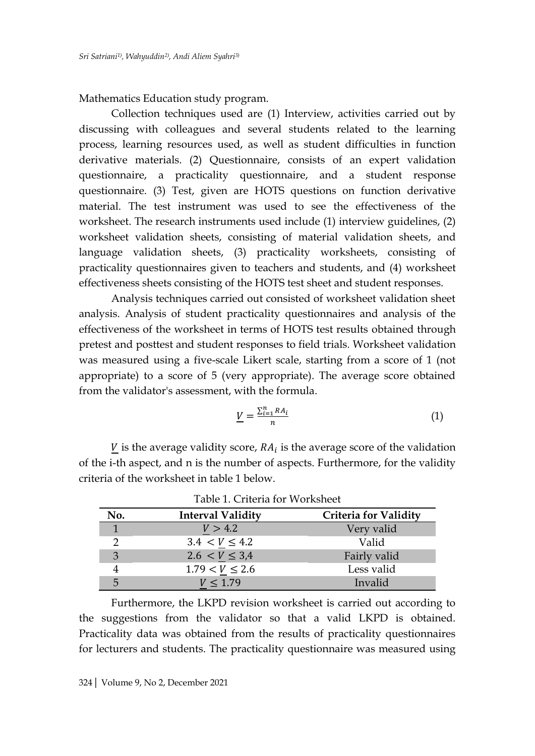Mathematics Education study program.

Collection techniques used are (1) Interview, activities carried out by discussing with colleagues and several students related to the learning process, learning resources used, as well as student difficulties in function derivative materials. (2) Questionnaire, consists of an expert validation questionnaire, a practicality questionnaire, and a student response questionnaire. (3) Test, given are HOTS questions on function derivative material. The test instrument was used to see the effectiveness of the worksheet. The research instruments used include (1) interview guidelines, (2) worksheet validation sheets, consisting of material validation sheets, and language validation sheets, (3) practicality worksheets, consisting of practicality questionnaires given to teachers and students, and (4) worksheet effectiveness sheets consisting of the HOTS test sheet and student responses.

Analysis techniques carried out consisted of worksheet validation sheet analysis. Analysis of student practicality questionnaires and analysis of the effectiveness of the worksheet in terms of HOTS test results obtained through pretest and posttest and student responses to field trials*.* Worksheet validation was measured using a five-scale Likert scale, starting from a score of 1 (not appropriate) to a score of 5 (very appropriate). The average score obtained from the validator's assessment, with the formula.

$$
\underline{V} = \frac{\sum_{i=1}^{n} RA_i}{n} \tag{1}
$$

 $\underline{V}$  is the average validity score,  $RA_i$  is the average score of the validation of the i-th aspect, and n is the number of aspects. Furthermore, for the validity criteria of the worksheet in table 1 below.

| Table 1. Criteria for Worksheet |                          |                              |  |
|---------------------------------|--------------------------|------------------------------|--|
| No.                             | <b>Interval Validity</b> | <b>Criteria for Validity</b> |  |
| $\mathbf{1}$                    | V > 4.2                  | Very valid                   |  |
| $\mathcal{P}$                   | $3.4 < V \leq 4.2$       | Valid                        |  |
| 3                               | $2.6 < V \leq 3.4$       | Fairly valid                 |  |
|                                 | $1.79 < V \le 2.6$       | Less valid                   |  |
| 5                               | $V \leq 1.79$            | Invalid                      |  |

Furthermore, the LKPD revision worksheet is carried out according to the suggestions from the validator so that a valid LKPD is obtained. Practicality data was obtained from the results of practicality questionnaires for lecturers and students. The practicality questionnaire was measured using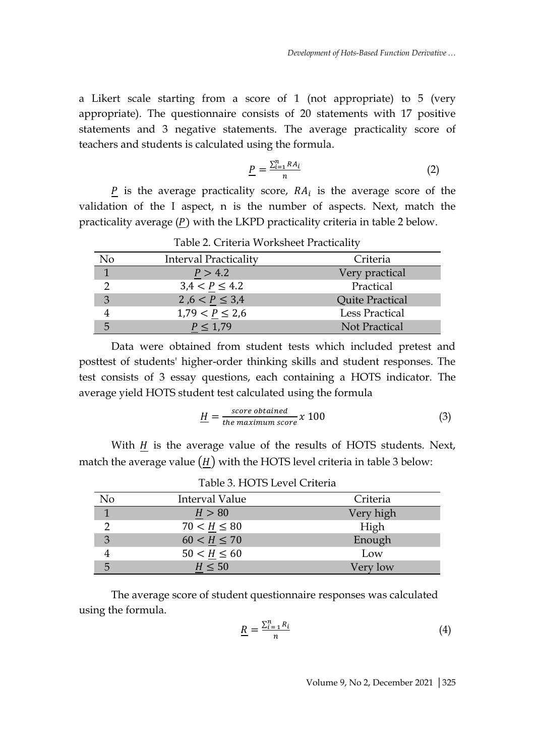a Likert scale starting from a score of 1 (not appropriate) to 5 (very appropriate). The questionnaire consists of 20 statements with 17 positive statements and 3 negative statements. The average practicality score of teachers and students is calculated using the formula.

$$
\underline{P} = \frac{\sum_{i=1}^{n} RA_i}{n} \tag{2}
$$

 $P$  is the average practicality score,  $RA_i$  is the average score of the validation of the I aspect, n is the number of aspects. Next, match the practicality average  $(P)$  with the LKPD practicality criteria in table 2 below.

| Table 2. Criteria Worksheet Practicality |                              |                 |  |
|------------------------------------------|------------------------------|-----------------|--|
| No                                       | <b>Interval Practicality</b> | Criteria        |  |
|                                          | P > 4.2                      | Very practical  |  |
| $\mathcal{D}$                            | $3,4 < P \leq 4.2$           | Practical       |  |
| 3                                        | 2,6 < $P \le 3,4$            | Quite Practical |  |
|                                          | $1,79 < P \leq 2,6$          | Less Practical  |  |
| 5                                        | $P \leq 1,79$                | Not Practical   |  |

Data were obtained from student tests which included pretest and posttest of students' higher-order thinking skills and student responses. The test consists of 3 essay questions, each containing a HOTS indicator. The average yield HOTS student test calculated using the formula

$$
\underline{H} = \frac{\text{score obtained}}{\text{the maximum score}} \times 100 \tag{3}
$$

With  $H$  is the average value of the results of HOTS students. Next, match the average value  $(H)$  with the HOTS level criteria in table 3 below:

|                | TUDIC 9. ITO TO LCTCI CHIRITIO |           |
|----------------|--------------------------------|-----------|
| N <sub>o</sub> | <b>Interval Value</b>          | Criteria  |
|                | H > 80                         | Very high |
| ◠              | $70 < H \le 80$                | High      |
| 3              | $60 < H \le 70$                | Enough    |
|                | $50 < H \le 60$                | Low       |
| 5              | $H \leq 50$                    | Very low  |

Table 3. HOTS Level Criteria

The average score of student questionnaire responses was calculated using the formula.

$$
\underline{R} = \frac{\sum_{i=1}^{n} R_i}{n} \tag{4}
$$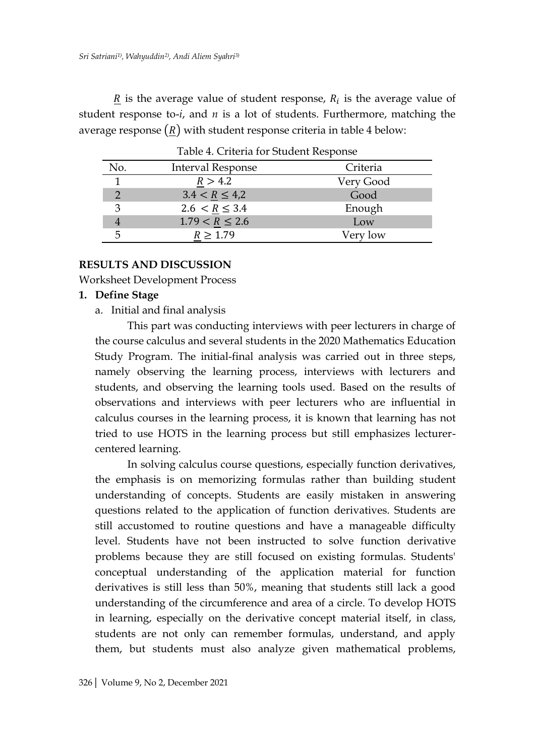$\underline{R}$  is the average value of student response,  $R_i$  is the average value of student response to-*i*, and *n* is a lot of students. Furthermore, matching the average response  $(R)$  with student response criteria in table 4 below:

|              | Table 4. Criteria for Student Response |           |  |
|--------------|----------------------------------------|-----------|--|
| No.          | <b>Interval Response</b>               | Criteria  |  |
| $\mathbf{1}$ | R > 4.2                                | Very Good |  |
|              | $3.4 < R \leq 4.2$                     | Good      |  |
| 3            | $2.6 < R \leq 3.4$                     | Enough    |  |
|              | $1.79 < R \leq 2.6$                    | Low       |  |
| 5            | $R \ge 1.79$                           | Very low  |  |
|              |                                        |           |  |

Table 4. Criteria for Student Response

# **RESULTS AND DISCUSSION**

Worksheet Development Process

## **1. Define Stage**

a. Initial and final analysis

This part was conducting interviews with peer lecturers in charge of the course calculus and several students in the 2020 Mathematics Education Study Program. The initial-final analysis was carried out in three steps, namely observing the learning process, interviews with lecturers and students, and observing the learning tools used. Based on the results of observations and interviews with peer lecturers who are influential in calculus courses in the learning process, it is known that learning has not tried to use HOTS in the learning process but still emphasizes lecturercentered learning.

In solving calculus course questions, especially function derivatives, the emphasis is on memorizing formulas rather than building student understanding of concepts. Students are easily mistaken in answering questions related to the application of function derivatives. Students are still accustomed to routine questions and have a manageable difficulty level. Students have not been instructed to solve function derivative problems because they are still focused on existing formulas. Students' conceptual understanding of the application material for function derivatives is still less than 50%, meaning that students still lack a good understanding of the circumference and area of a circle. To develop HOTS in learning, especially on the derivative concept material itself, in class, students are not only can remember formulas, understand, and apply them, but students must also analyze given mathematical problems,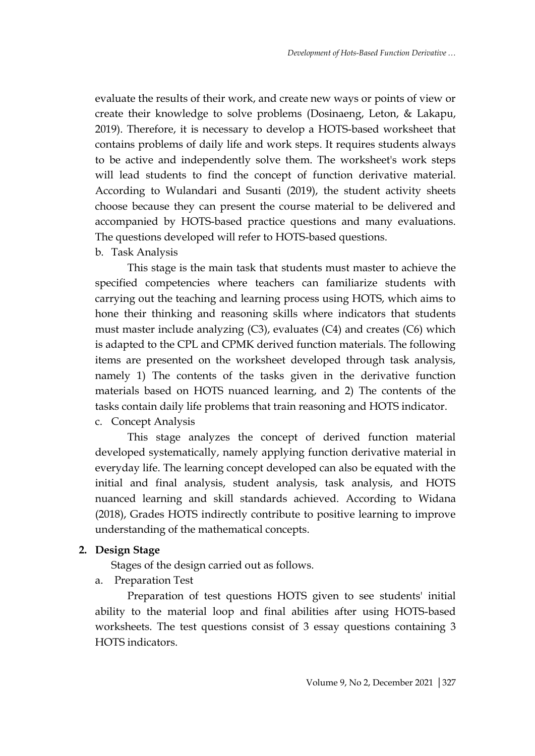evaluate the results of their work, and create new ways or points of view or create their knowledge to solve problems (Dosinaeng, Leton, & Lakapu, 2019). Therefore, it is necessary to develop a HOTS-based worksheet that contains problems of daily life and work steps. It requires students always to be active and independently solve them. The worksheet's work steps will lead students to find the concept of function derivative material. According to Wulandari and Susanti (2019), the student activity sheets choose because they can present the course material to be delivered and accompanied by HOTS-based practice questions and many evaluations. The questions developed will refer to HOTS-based questions.

## b. Task Analysis

This stage is the main task that students must master to achieve the specified competencies where teachers can familiarize students with carrying out the teaching and learning process using HOTS, which aims to hone their thinking and reasoning skills where indicators that students must master include analyzing (C3), evaluates (C4) and creates (C6) which is adapted to the CPL and CPMK derived function materials. The following items are presented on the worksheet developed through task analysis, namely 1) The contents of the tasks given in the derivative function materials based on HOTS nuanced learning, and 2) The contents of the tasks contain daily life problems that train reasoning and HOTS indicator. c. Concept Analysis

This stage analyzes the concept of derived function material developed systematically, namely applying function derivative material in everyday life. The learning concept developed can also be equated with the initial and final analysis, student analysis, task analysis, and HOTS nuanced learning and skill standards achieved. According to Widana (2018), Grades HOTS indirectly contribute to positive learning to improve understanding of the mathematical concepts.

# **2. Design Stage**

Stages of the design carried out as follows.

a. Preparation Test

Preparation of test questions HOTS given to see students' initial ability to the material loop and final abilities after using HOTS-based worksheets. The test questions consist of 3 essay questions containing 3 HOTS indicators.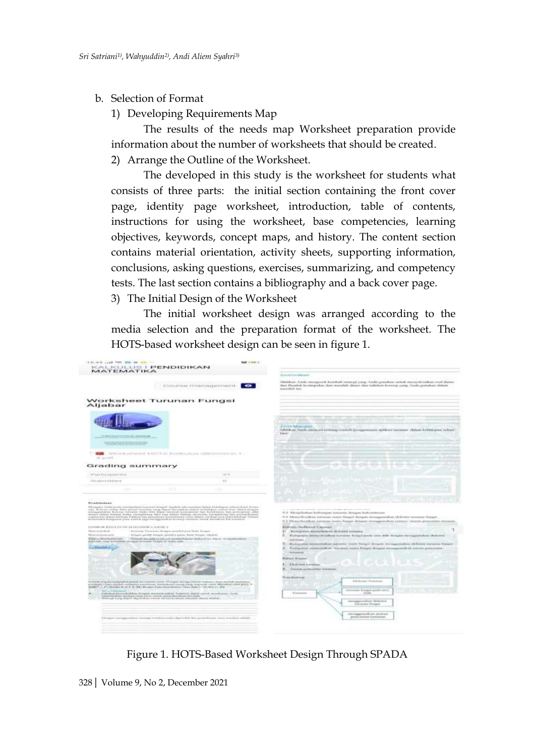#### b. Selection of Format

1) Developing Requirements Map

The results of the needs map Worksheet preparation provide information about the number of worksheets that should be created. 2) Arrange the Outline of the Worksheet.

The developed in this study is the worksheet for students what consists of three parts: the initial section containing the front cover page, identity page worksheet, introduction, table of contents, instructions for using the worksheet, base competencies, learning objectives, keywords, concept maps, and history. The content section contains material orientation, activity sheets, supporting information, conclusions, asking questions, exercises, summarizing, and competency tests. The last section contains a bibliography and a back cover page.

3) The Initial Design of the Worksheet

The initial worksheet design was arranged according to the media selection and the preparation format of the worksheet. The HOTS-based worksheet design can be seen in figure 1.

| MATEMATIKA                                                                                                                                                                                                                                                                                                                                                                                                                                                                                                                                                                                                                                                                                                                                                                                                                                                                                                                                                                                                                                                                                                                                                                                                                                                                                                                                                                                                                                                                                                                                                                                                                  |                                                                                                                                                                                                                                                                                                                                                                                                                                                                                                                                                                                                                                                                                                                                                                                                                                                                                                                                                                                                                                                                             |
|-----------------------------------------------------------------------------------------------------------------------------------------------------------------------------------------------------------------------------------------------------------------------------------------------------------------------------------------------------------------------------------------------------------------------------------------------------------------------------------------------------------------------------------------------------------------------------------------------------------------------------------------------------------------------------------------------------------------------------------------------------------------------------------------------------------------------------------------------------------------------------------------------------------------------------------------------------------------------------------------------------------------------------------------------------------------------------------------------------------------------------------------------------------------------------------------------------------------------------------------------------------------------------------------------------------------------------------------------------------------------------------------------------------------------------------------------------------------------------------------------------------------------------------------------------------------------------------------------------------------------------|-----------------------------------------------------------------------------------------------------------------------------------------------------------------------------------------------------------------------------------------------------------------------------------------------------------------------------------------------------------------------------------------------------------------------------------------------------------------------------------------------------------------------------------------------------------------------------------------------------------------------------------------------------------------------------------------------------------------------------------------------------------------------------------------------------------------------------------------------------------------------------------------------------------------------------------------------------------------------------------------------------------------------------------------------------------------------------|
|                                                                                                                                                                                                                                                                                                                                                                                                                                                                                                                                                                                                                                                                                                                                                                                                                                                                                                                                                                                                                                                                                                                                                                                                                                                                                                                                                                                                                                                                                                                                                                                                                             | <b>Rainishavahooni</b>                                                                                                                                                                                                                                                                                                                                                                                                                                                                                                                                                                                                                                                                                                                                                                                                                                                                                                                                                                                                                                                      |
| land remed first and the electronic info<br>ATHEMATIONS ATASMASS CHAPTERS FROM                                                                                                                                                                                                                                                                                                                                                                                                                                                                                                                                                                                                                                                                                                                                                                                                                                                                                                                                                                                                                                                                                                                                                                                                                                                                                                                                                                                                                                                                                                                                              | Highlight Artiki verspreck korribak strategi yong Artiki gutukat sastuk menyebratkan insil distan-<br>skas Presidals kontingrubas ülasi rasorakdi. Alaise dasi valteluisi kreenigi yangi Azulla ginitakasi ilitkasi<br>maniplate text.                                                                                                                                                                                                                                                                                                                                                                                                                                                                                                                                                                                                                                                                                                                                                                                                                                      |
| Worksheet Turunan Fungsi<br>Aljabar                                                                                                                                                                                                                                                                                                                                                                                                                                                                                                                                                                                                                                                                                                                                                                                                                                                                                                                                                                                                                                                                                                                                                                                                                                                                                                                                                                                                                                                                                                                                                                                         |                                                                                                                                                                                                                                                                                                                                                                                                                                                                                                                                                                                                                                                                                                                                                                                                                                                                                                                                                                                                                                                                             |
| 11/010/06010 01:000107-054-5040-0                                                                                                                                                                                                                                                                                                                                                                                                                                                                                                                                                                                                                                                                                                                                                                                                                                                                                                                                                                                                                                                                                                                                                                                                                                                                                                                                                                                                                                                                                                                                                                                           | A WASHINGTON SHOULD !!<br>Tehnikasi Anaki simmusi koreasa mereriti punggarmaan apikaco tutsaan udalam kulishapua schari-<br><b>Boked</b>                                                                                                                                                                                                                                                                                                                                                                                                                                                                                                                                                                                                                                                                                                                                                                                                                                                                                                                                    |
| <b><i>Seat productions in the a</i></b>                                                                                                                                                                                                                                                                                                                                                                                                                                                                                                                                                                                                                                                                                                                                                                                                                                                                                                                                                                                                                                                                                                                                                                                                                                                                                                                                                                                                                                                                                                                                                                                     |                                                                                                                                                                                                                                                                                                                                                                                                                                                                                                                                                                                                                                                                                                                                                                                                                                                                                                                                                                                                                                                                             |
|                                                                                                                                                                                                                                                                                                                                                                                                                                                                                                                                                                                                                                                                                                                                                                                                                                                                                                                                                                                                                                                                                                                                                                                                                                                                                                                                                                                                                                                                                                                                                                                                                             |                                                                                                                                                                                                                                                                                                                                                                                                                                                                                                                                                                                                                                                                                                                                                                                                                                                                                                                                                                                                                                                                             |
| THE SANDARD STREET RECEIVED FOR POSTED ON HER CHARGES OF A STREET<br>$-0.444$                                                                                                                                                                                                                                                                                                                                                                                                                                                                                                                                                                                                                                                                                                                                                                                                                                                                                                                                                                                                                                                                                                                                                                                                                                                                                                                                                                                                                                                                                                                                               |                                                                                                                                                                                                                                                                                                                                                                                                                                                                                                                                                                                                                                                                                                                                                                                                                                                                                                                                                                                                                                                                             |
| Grading summary                                                                                                                                                                                                                                                                                                                                                                                                                                                                                                                                                                                                                                                                                                                                                                                                                                                                                                                                                                                                                                                                                                                                                                                                                                                                                                                                                                                                                                                                                                                                                                                                             |                                                                                                                                                                                                                                                                                                                                                                                                                                                                                                                                                                                                                                                                                                                                                                                                                                                                                                                                                                                                                                                                             |
| <b>SEP</b><br>PTARTTY-HOUSINGTROU                                                                                                                                                                                                                                                                                                                                                                                                                                                                                                                                                                                                                                                                                                                                                                                                                                                                                                                                                                                                                                                                                                                                                                                                                                                                                                                                                                                                                                                                                                                                                                                           |                                                                                                                                                                                                                                                                                                                                                                                                                                                                                                                                                                                                                                                                                                                                                                                                                                                                                                                                                                                                                                                                             |
| 2020 a 44 (see or a in b 4 percent<br>$\frac{1}{2} \left( \frac{1}{2} \right)$                                                                                                                                                                                                                                                                                                                                                                                                                                                                                                                                                                                                                                                                                                                                                                                                                                                                                                                                                                                                                                                                                                                                                                                                                                                                                                                                                                                                                                                                                                                                              |                                                                                                                                                                                                                                                                                                                                                                                                                                                                                                                                                                                                                                                                                                                                                                                                                                                                                                                                                                                                                                                                             |
| c<br><b>COLOR</b>                                                                                                                                                                                                                                                                                                                                                                                                                                                                                                                                                                                                                                                                                                                                                                                                                                                                                                                                                                                                                                                                                                                                                                                                                                                                                                                                                                                                                                                                                                                                                                                                           |                                                                                                                                                                                                                                                                                                                                                                                                                                                                                                                                                                                                                                                                                                                                                                                                                                                                                                                                                                                                                                                                             |
|                                                                                                                                                                                                                                                                                                                                                                                                                                                                                                                                                                                                                                                                                                                                                                                                                                                                                                                                                                                                                                                                                                                                                                                                                                                                                                                                                                                                                                                                                                                                                                                                                             |                                                                                                                                                                                                                                                                                                                                                                                                                                                                                                                                                                                                                                                                                                                                                                                                                                                                                                                                                                                                                                                                             |
| <b>Pondskiplan</b><br>Addressed to Analysian Australian Incomeditions (Applied Jakobana America Incident Information of the<br>$\alpha$ . Note that the three contrasts and the proposition and the transition and the proposition of the contrast of the contrast of the contrast of the contrast of the contrast of the contrast of the contrast of the contra<br>A 47-YEAR-OLD FEMALE AND COMPANY AND ARRESTS ON A 47-YEAR OLD CALL AND RELEASE.<br>beli annosti precisi cità." Il<br>However Toyotates chapter purchill even Pealer Forget<br>Adverse presenters.<br>Folum govPE Height, profice govis, New Avega-70(data<br><b>Exercit Plantymouse!</b><br>The labour monation is pleased a production of particular and a structure see and colored<br>Also cadual to regular the reason in realistic and provide the control of<br>Monday & Col<br><b>COLOR</b><br>ikalah biasan terbanduk pada kecamatan tersebut di bagian dengan berasa berbasa dalam mendah angkalanan.<br>Sembagai dan sematah mendangai pendanan, bersentasai mengi sing, terpasan tahun dificialisasi selah jahiji ter<br>4400 - 1"; builds it it it in the Borger Case Synapsiers was (65) - 12-day 21-85<br>A devaluate prove chainbase Miligate seminated capitals. Suspensals should covered, according to a literal<br>chinesemployee between the state for the country experience of the control of the country.<br>However, and provide the country of the country of the control of the country of the country of the country of<br>Dreases entrancements records to collection of a real line proprieties court proprieties with the | 9.9 Shripplackura Italianspez Jeromany skriugen Aukonomissum<br>17.2 Music/Bookbas Versases Heres Resur (Resurs) Homogenethen (US)/Hoese Sevenage Trenger<br>IT II Schooly-Renational monoione inning Rations of the operator management as a contrast detection presentation term<br>Book-stin / Mix Rhance it ap-reason<br>Kennetwo destached an debuted incomed.<br>Harrison's sensible colored to consume the set only to the Motate more particular to the color<br>Test complete<br>Rocksgoodel bloomverkillings autonomic counts: Deligion of Franklin convenience (Arthureau Surveyora Turneri)<br>Exclusion residents in Automobile Control and Control of Control International and reserve positions<br><b>RANGERS</b><br><b>Phil Gas-In Associate</b><br>Elkolomidi avantinimi<br>Advises pointerines becomes<br>Franklinsson<br><b>Edit Artists Christmass</b><br>Incomedy Ferraget preside leases<br>$14688 +$<br>15 September 1<br>perceptions and the project<br><b>Statement Fengel</b><br>reconsponsibles area on-<br>points retrieved and controlled and |

Figure 1. HOTS-Based Worksheet Design Through SPADA

<sup>328</sup>| Volume 9, No 2, December 2021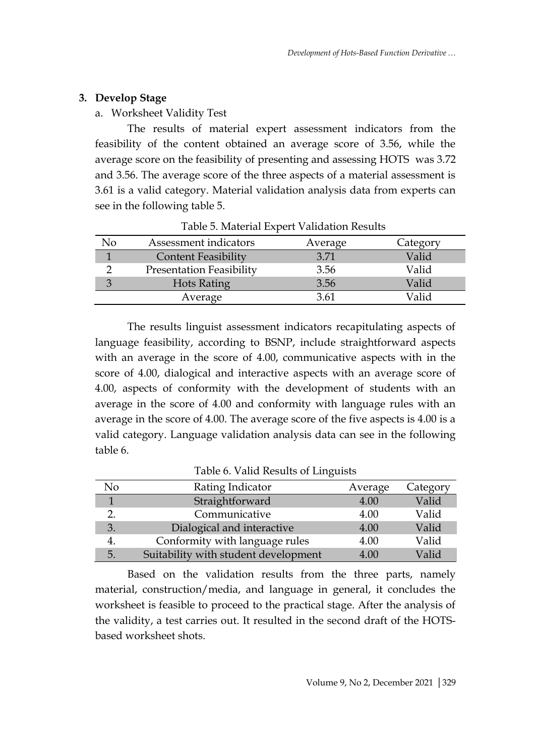# **3. Develop Stage**

# a. Worksheet Validity Test

The results of material expert assessment indicators from the feasibility of the content obtained an average score of 3.56, while the average score on the feasibility of presenting and assessing HOTS was 3.72 and 3.56. The average score of the three aspects of a material assessment is 3.61 is a valid category. Material validation analysis data from experts can see in the following table 5.

| No | Assessment indicators           | Average | Category     |
|----|---------------------------------|---------|--------------|
|    | <b>Content Feasibility</b>      | 3.71    | Valid        |
|    | <b>Presentation Feasibility</b> | 3.56    | Valid        |
|    | <b>Hots Rating</b>              | 3.56    | Valid        |
|    | Average                         | 3.61    | <i>Ialid</i> |

### Table 5. Material Expert Validation Results

The results linguist assessment indicators recapitulating aspects of language feasibility, according to BSNP, include straightforward aspects with an average in the score of 4.00, communicative aspects with in the score of 4.00, dialogical and interactive aspects with an average score of 4.00, aspects of conformity with the development of students with an average in the score of 4.00 and conformity with language rules with an average in the score of 4.00. The average score of the five aspects is 4.00 is a valid category. Language validation analysis data can see in the following table 6.

|    | Table 0. Tana Repared of Bill Groto  |         |          |
|----|--------------------------------------|---------|----------|
| No | Rating Indicator                     | Average | Category |
|    | Straightforward                      | 4.00    | Valid    |
| 2. | Communicative                        | 4.00    | Valid    |
| 3. | Dialogical and interactive           | 4.00    | Valid    |
| 4. | Conformity with language rules       | 4.00    | Valid    |
| 5. | Suitability with student development | 4.00    | Valid    |

# Table 6. Valid Results of Linguists

Based on the validation results from the three parts, namely material, construction/media, and language in general, it concludes the worksheet is feasible to proceed to the practical stage. After the analysis of the validity, a test carries out. It resulted in the second draft of the HOTSbased worksheet shots.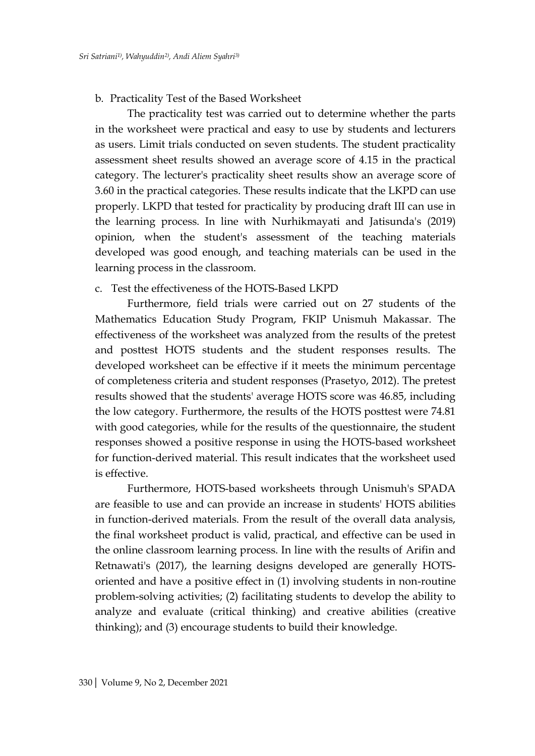#### b. Practicality Test of the Based Worksheet

The practicality test was carried out to determine whether the parts in the worksheet were practical and easy to use by students and lecturers as users. Limit trials conducted on seven students. The student practicality assessment sheet results showed an average score of 4.15 in the practical category. The lecturer's practicality sheet results show an average score of 3.60 in the practical categories. These results indicate that the LKPD can use properly. LKPD that tested for practicality by producing draft III can use in the learning process. In line with Nurhikmayati and Jatisunda's (2019) opinion, when the student's assessment of the teaching materials developed was good enough, and teaching materials can be used in the learning process in the classroom.

#### c. Test the effectiveness of the HOTS-Based LKPD

Furthermore, field trials were carried out on 27 students of the Mathematics Education Study Program, FKIP Unismuh Makassar. The effectiveness of the worksheet was analyzed from the results of the pretest and posttest HOTS students and the student responses results. The developed worksheet can be effective if it meets the minimum percentage of completeness criteria and student responses (Prasetyo, 2012). The pretest results showed that the students' average HOTS score was 46.85, including the low category. Furthermore, the results of the HOTS posttest were 74.81 with good categories, while for the results of the questionnaire, the student responses showed a positive response in using the HOTS-based worksheet for function-derived material. This result indicates that the worksheet used is effective.

Furthermore, HOTS-based worksheets through Unismuh's SPADA are feasible to use and can provide an increase in students' HOTS abilities in function-derived materials. From the result of the overall data analysis, the final worksheet product is valid, practical, and effective can be used in the online classroom learning process. In line with the results of Arifin and Retnawati's (2017), the learning designs developed are generally HOTSoriented and have a positive effect in (1) involving students in non-routine problem-solving activities; (2) facilitating students to develop the ability to analyze and evaluate (critical thinking) and creative abilities (creative thinking); and (3) encourage students to build their knowledge.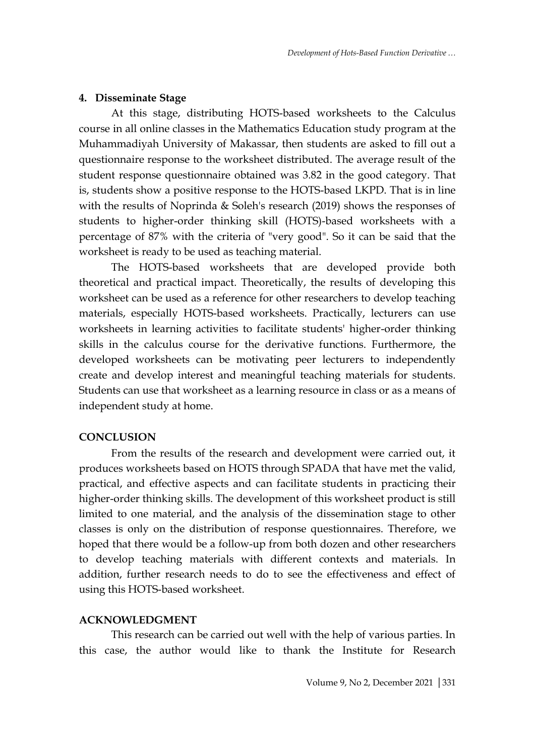#### **4. Disseminate Stage**

At this stage, distributing HOTS-based worksheets to the Calculus course in all online classes in the Mathematics Education study program at the Muhammadiyah University of Makassar, then students are asked to fill out a questionnaire response to the worksheet distributed. The average result of the student response questionnaire obtained was 3.82 in the good category. That is, students show a positive response to the HOTS-based LKPD. That is in line with the results of Noprinda & Soleh's research (2019) shows the responses of students to higher-order thinking skill (HOTS)-based worksheets with a percentage of 87% with the criteria of "very good". So it can be said that the worksheet is ready to be used as teaching material.

The HOTS-based worksheets that are developed provide both theoretical and practical impact. Theoretically, the results of developing this worksheet can be used as a reference for other researchers to develop teaching materials, especially HOTS-based worksheets. Practically, lecturers can use worksheets in learning activities to facilitate students' higher-order thinking skills in the calculus course for the derivative functions. Furthermore, the developed worksheets can be motivating peer lecturers to independently create and develop interest and meaningful teaching materials for students. Students can use that worksheet as a learning resource in class or as a means of independent study at home.

#### **CONCLUSION**

From the results of the research and development were carried out, it produces worksheets based on HOTS through SPADA that have met the valid, practical, and effective aspects and can facilitate students in practicing their higher-order thinking skills. The development of this worksheet product is still limited to one material, and the analysis of the dissemination stage to other classes is only on the distribution of response questionnaires. Therefore, we hoped that there would be a follow-up from both dozen and other researchers to develop teaching materials with different contexts and materials. In addition, further research needs to do to see the effectiveness and effect of using this HOTS-based worksheet.

#### **ACKNOWLEDGMENT**

This research can be carried out well with the help of various parties. In this case, the author would like to thank the Institute for Research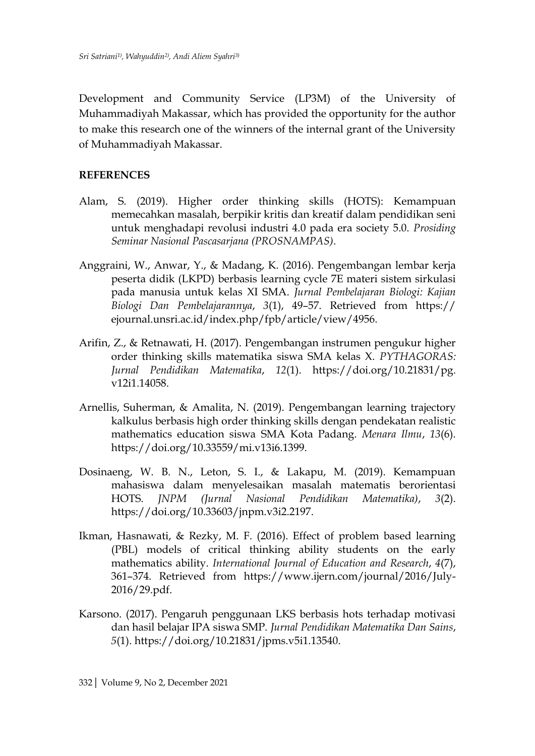Development and Community Service (LP3M) of the University of Muhammadiyah Makassar, which has provided the opportunity for the author to make this research one of the winners of the internal grant of the University of Muhammadiyah Makassar.

### **REFERENCES**

- Alam, S. (2019). Higher order thinking skills (HOTS): Kemampuan memecahkan masalah, berpikir kritis dan kreatif dalam pendidikan seni untuk menghadapi revolusi industri 4.0 pada era society 5.0. *Prosiding Seminar Nasional Pascasarjana (PROSNAMPAS)*.
- Anggraini, W., Anwar, Y., & Madang, K. (2016). Pengembangan lembar kerja peserta didik (LKPD) berbasis learning cycle 7E materi sistem sirkulasi pada manusia untuk kelas XI SMA. *Jurnal Pembelajaran Biologi: Kajian Biologi Dan Pembelajarannya*, *3*(1), 49–57. Retrieved from https:// ejournal.unsri.ac.id/index.php/fpb/article/view/4956.
- Arifin, Z., & Retnawati, H. (2017). Pengembangan instrumen pengukur higher order thinking skills matematika siswa SMA kelas X. *PYTHAGORAS: Jurnal Pendidikan Matematika*, *12*(1). https://doi.org/10.21831/pg. v12i1.14058.
- Arnellis, Suherman, & Amalita, N. (2019). Pengembangan learning trajectory kalkulus berbasis high order thinking skills dengan pendekatan realistic mathematics education siswa SMA Kota Padang. *Menara Ilmu*, *13*(6). https://doi.org/10.33559/mi.v13i6.1399.
- Dosinaeng, W. B. N., Leton, S. I., & Lakapu, M. (2019). Kemampuan mahasiswa dalam menyelesaikan masalah matematis berorientasi HOTS. *JNPM (Jurnal Nasional Pendidikan Matematika)*, *3*(2). https://doi.org/10.33603/jnpm.v3i2.2197.
- Ikman, Hasnawati, & Rezky, M. F. (2016). Effect of problem based learning (PBL) models of critical thinking ability students on the early mathematics ability. *International Journal of Education and Research*, *4*(7), 361–374. Retrieved from https://www.ijern.com/journal/2016/July-2016/29.pdf.
- Karsono. (2017). Pengaruh penggunaan LKS berbasis hots terhadap motivasi dan hasil belajar IPA siswa SMP. *Jurnal Pendidikan Matematika Dan Sains*, *5*(1). https://doi.org/10.21831/jpms.v5i1.13540.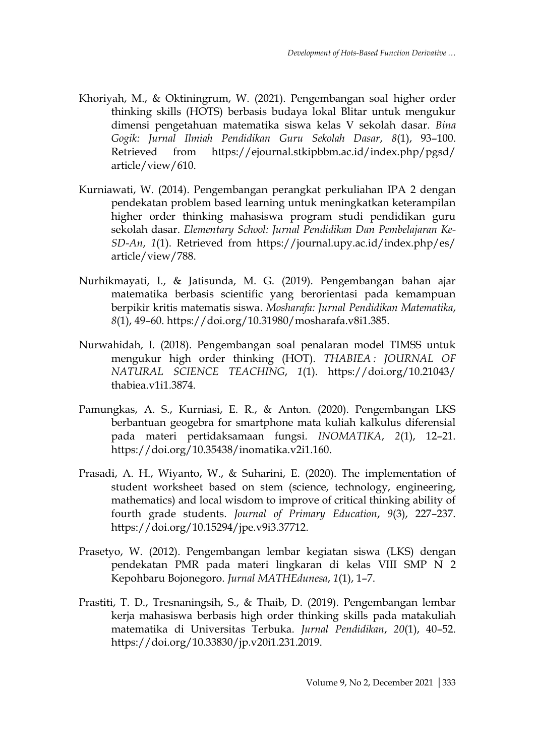- Khoriyah, M., & Oktiningrum, W. (2021). Pengembangan soal higher order thinking skills (HOTS) berbasis budaya lokal Blitar untuk mengukur dimensi pengetahuan matematika siswa kelas V sekolah dasar. *Bina Gogik: Jurnal Ilmiah Pendidikan Guru Sekolah Dasar*, *8*(1), 93–100. Retrieved from https://ejournal.stkipbbm.ac.id/index.php/pgsd/ article/view/610.
- Kurniawati, W. (2014). Pengembangan perangkat perkuliahan IPA 2 dengan pendekatan problem based learning untuk meningkatkan keterampilan higher order thinking mahasiswa program studi pendidikan guru sekolah dasar. *Elementary School: Jurnal Pendidikan Dan Pembelajaran Ke-SD-An*, *1*(1). Retrieved from https://journal.upy.ac.id/index.php/es/ article/view/788.
- Nurhikmayati, I., & Jatisunda, M. G. (2019). Pengembangan bahan ajar matematika berbasis scientific yang berorientasi pada kemampuan berpikir kritis matematis siswa. *Mosharafa: Jurnal Pendidikan Matematika*, *8*(1), 49–60. https://doi.org/10.31980/mosharafa.v8i1.385.
- Nurwahidah, I. (2018). Pengembangan soal penalaran model TIMSS untuk mengukur high order thinking (HOT). *THABIEA : JOURNAL OF NATURAL SCIENCE TEACHING*, *1*(1). https://doi.org/10.21043/ thabiea.v1i1.3874.
- Pamungkas, A. S., Kurniasi, E. R., & Anton. (2020). Pengembangan LKS berbantuan geogebra for smartphone mata kuliah kalkulus diferensial pada materi pertidaksamaan fungsi. *INOMATIKA*, *2*(1), 12–21. https://doi.org/10.35438/inomatika.v2i1.160.
- Prasadi, A. H., Wiyanto, W., & Suharini, E. (2020). The implementation of student worksheet based on stem (science, technology, engineering, mathematics) and local wisdom to improve of critical thinking ability of fourth grade students. *Journal of Primary Education*, *9*(3), 227–237. https://doi.org/10.15294/jpe.v9i3.37712.
- Prasetyo, W. (2012). Pengembangan lembar kegiatan siswa (LKS) dengan pendekatan PMR pada materi lingkaran di kelas VIII SMP N 2 Kepohbaru Bojonegoro. *Jurnal MATHEdunesa*, *1*(1), 1–7.
- Prastiti, T. D., Tresnaningsih, S., & Thaib, D. (2019). Pengembangan lembar kerja mahasiswa berbasis high order thinking skills pada matakuliah matematika di Universitas Terbuka. *Jurnal Pendidikan*, *20*(1), 40–52. https://doi.org/10.33830/jp.v20i1.231.2019.